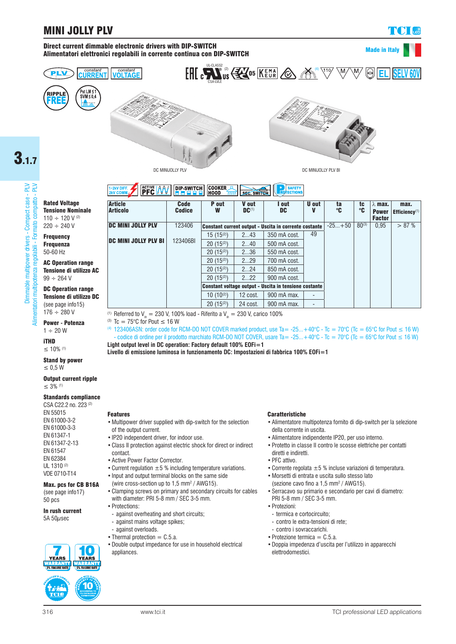# MINI JOLLY PLV

constant<br>**VOLTAGE** 

# Made in Italy







**Code** Codice

DIP-SWITCH

**PFC MW** 



ta °C tc °C  $\lambda$  max. Power Factor<br> $\frac{0.95}{0.95}$ 

max. Efficiency<sup>(1</sup>

U out V

 $3.1.7$ 

Dimmable multipower drivers - Compact case - PLV<br>ori multipotenza regolabili - Formato compatto - PLV Dimmable multipower drivers - Compact case - PLV Alimentatori multipotenza regolabili - Formato compatto - PLV llimentatori multipotenza regolabili - Formato compatto -

Rated Voltage Tensione Nominale 110 ÷ 120 V (2)  $220 \div 240$  V

**Frequency** Frequenza 50-60 Hz

AC Operation range Tensione di utilizzo AC  $99 - 264$  V

## DC Operation range Tensione di utilizzo DC (see page info15)

 $176 \div 280$  V Power **-** Potenza

 $1 \div 20$  W

iTHD ≤ 10% (1)

### Stand by power ≤ 0,5 W

Output current ripple ≤ 3% (1)

## Standards compliance

CSA C22.2 no. 223 (2)

EN 55015 EN 61000-3-2 EN 61000-3-3 EN 61347-1 EN 61347-2-13 EN 61547 EN 62384 UL 1310<sup>(2)</sup> VDE 0710-T14

#### Max. pcs for CB B16A (see page info17)

50 pcs

In rush current 5A  $50\mu$ sec

0 **EARS** YEARS **NARRANT**<br>I 5% FAILURE RATE **SAN WALLER** 

10

DC MINI JOLLY PLV DC MINI JOLLY PLV BI 123406 123406BI Constant current output - Uscita in corrente costante  $\left| \frac{-25...+50}{20^{(3)}} \right| 0.95 > 87\%$ 15 (15<sup>(2)</sup>) 2...43 350 mA cost. 49 20 (15<sup>(2)</sup>) 2...40 500 mA cost.<br>20 (15<sup>(2)</sup>) 2...36 550 mA cost. 550 mA cost. 20 (15<sup>(2)</sup>) 2...29 700 mA cost. 20 (15<sup>(2)</sup>) 2...24 850 mA cost. 20  $(15^{(2)})$  2...22 900 mA cost. Constant voltage output - Uscita in tensione costante

P out W

COOKER<br>HOOD

V out DC(1)

**SEC. SWITCH** 

<sup>(1)</sup> Referred to  $V_{in} = 230$  V, 100% load - Riferito a  $V_{in} = 230$  V, carico 100%

(3) Tc =  $75^{\circ}$ C for Pout  $\leq 16$  W

(4) 123406ASN: order code for RCM-DO NOT COVER marked product, use Ta= -25...+40°C - Tc = 70°C (Tc = 65°C for Pout ≤ 16 W) - codice di ordine per il prodotto marchiato RCM-DO NOT COVER, usare Ta= -25...+40°C - Tc = 70°C (Tc = 65°C for Pout ≤ 16 W) **Light output level in DC operation: Factory default 100% EOFi=1**

10 (10(2) | 12 cost. | 900 mA max. 20 (15<sup>(2)</sup>) 24 cost. 900 mA max.

**Livello di emissione luminosa in funzionamento DC: Impostazioni di fabbrica 100% EOFi=1**

# Features

**Article Articolo** 

- •Multipower driver supplied with dip-switch for the selection of the output current.
- •IP20 independent driver, for indoor use.
- •Class II protection against electric shock for direct or indirect contact.
- •Active Power Factor Corrector.
- Current regulation  $\pm 5$  % including temperature variations. •Input and output terminal blocks on the same side
- (wire cross-section up to 1,5 mm2 / AWG15).
- •Clamping screws on primary and secondary circuits for cables with diameter: PRI 5-8 mm / SEC 3-5 mm.
- •Protections:
- against overheating and short circuits;
- against mains voltage spikes;
- against overloads.
- Thermal protection  $=$  C.5.a.
- •Double output impedance for use in household electrical appliances

## Caratteristiche

- •Alimentatore multipotenza fornito di dip-switch per la selezione della corrente in uscita.
- •Alimentatore indipendente IP20, per uso interno.
- •Protetto in classe II contro le scosse elettriche per contatti diretti e indiretti.
- •PFC attivo.
- Corrente regolata  $\pm 5$  % incluse variazioni di temperatura.
- •Morsetti di entrata e uscita sullo stesso lato
- (sezione cavo fino a 1,5 mm2 / AWG15).
- •Serracavo su primario e secondario per cavi di diametro: PRI 5-8 mm / SEC 3-5 mm.
- •Protezioni:
- termica e cortocircuito;
- contro le extra-tensioni di rete;
- contro i sovraccarichi.
- Protezione termica  $=$  C.5.a.
- •Doppia impedenza d'uscita per l'utilizzo in apparecchi elettrodomestici.



I out DC

**SAFETY**<br>ECTIONS